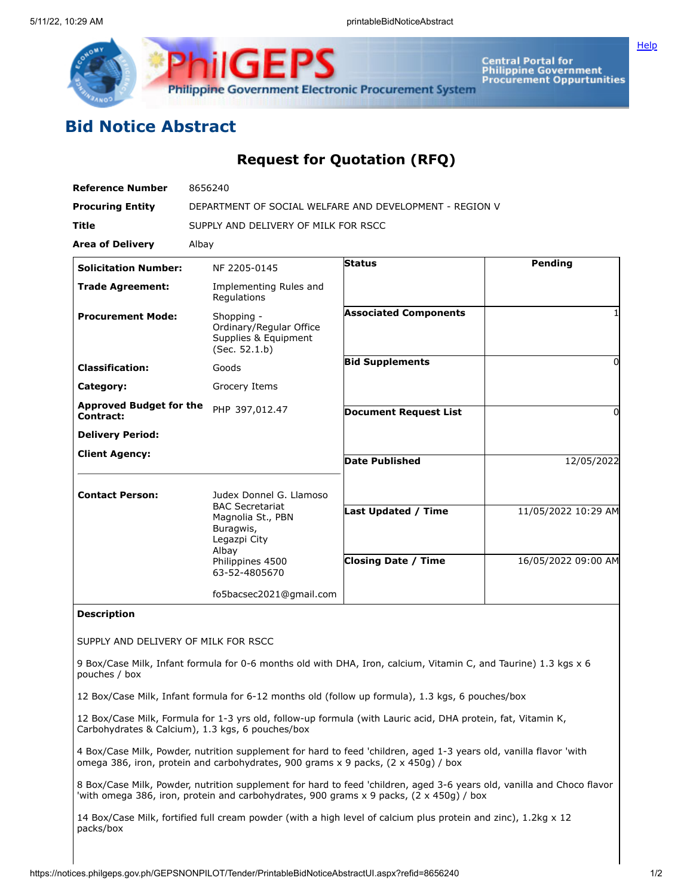

**Central Portal for<br>Philippine Government<br>Procurement Oppurtunities** 

## **Bid Notice Abstract**

## **Request for Quotation (RFQ)**

| <b>Reference Number</b>                     | 8656240                                                                                               |                                                                                                                 |                                            |
|---------------------------------------------|-------------------------------------------------------------------------------------------------------|-----------------------------------------------------------------------------------------------------------------|--------------------------------------------|
| <b>Procuring Entity</b>                     | DEPARTMENT OF SOCIAL WELFARE AND DEVELOPMENT - REGION V                                               |                                                                                                                 |                                            |
| Title                                       | SUPPLY AND DELIVERY OF MILK FOR RSCC                                                                  |                                                                                                                 |                                            |
| <b>Area of Delivery</b>                     | Albay                                                                                                 |                                                                                                                 |                                            |
| <b>Solicitation Number:</b>                 | NF 2205-0145                                                                                          | <b>Status</b>                                                                                                   | Pending                                    |
| <b>Trade Agreement:</b>                     | Implementing Rules and<br>Regulations                                                                 |                                                                                                                 |                                            |
| <b>Procurement Mode:</b>                    | Shopping -<br>Ordinary/Regular Office<br>Supplies & Equipment<br>(Sec. 52.1.b)                        | <b>Associated Components</b>                                                                                    | 1                                          |
| <b>Classification:</b>                      | Goods                                                                                                 | <b>Bid Supplements</b>                                                                                          | 0                                          |
| Category:                                   | Grocery Items                                                                                         |                                                                                                                 |                                            |
| <b>Approved Budget for the</b><br>Contract: | PHP 397,012.47                                                                                        | <b>Document Request List</b>                                                                                    | 0                                          |
| <b>Delivery Period:</b>                     |                                                                                                       |                                                                                                                 |                                            |
| <b>Client Agency:</b>                       |                                                                                                       | <b>Date Published</b>                                                                                           | 12/05/2022                                 |
| <b>Contact Person:</b>                      | Judex Donnel G. Llamoso                                                                               |                                                                                                                 |                                            |
|                                             | <b>BAC Secretariat</b><br>Magnolia St., PBN<br>Buragwis,<br>Legazpi City<br>Albay<br>Philippines 4500 | <b>Last Updated / Time</b><br><b>Closing Date / Time</b>                                                        | 11/05/2022 10:29 AM<br>16/05/2022 09:00 AM |
|                                             | 63-52-4805670                                                                                         |                                                                                                                 |                                            |
|                                             | fo5bacsec2021@gmail.com                                                                               |                                                                                                                 |                                            |
| <b>Description</b>                          |                                                                                                       |                                                                                                                 |                                            |
| SUPPLY AND DELIVERY OF MILK FOR RSCC        |                                                                                                       |                                                                                                                 |                                            |
| pouches / box                               |                                                                                                       | 9 Box/Case Milk, Infant formula for 0-6 months old with DHA, Iron, calcium, Vitamin C, and Taurine) 1.3 kgs x 6 |                                            |

12 Box/Case Milk, Infant formula for 6-12 months old (follow up formula), 1.3 kgs, 6 pouches/box

12 Box/Case Milk, Formula for 1-3 yrs old, follow-up formula (with Lauric acid, DHA protein, fat, Vitamin K, Carbohydrates & Calcium), 1.3 kgs, 6 pouches/box

4 Box/Case Milk, Powder, nutrition supplement for hard to feed 'children, aged 1-3 years old, vanilla flavor 'with omega 386, iron, protein and carbohydrates, 900 grams x 9 packs, (2 x 450g) / box

8 Box/Case Milk, Powder, nutrition supplement for hard to feed 'children, aged 3-6 years old, vanilla and Choco flavor 'with omega 386, iron, protein and carbohydrates, 900 grams x 9 packs, (2 x 450g) / box

14 Box/Case Milk, fortified full cream powder (with a high level of calcium plus protein and zinc), 1.2kg x 12 packs/box

**[Help](javascript:void(window.open()**